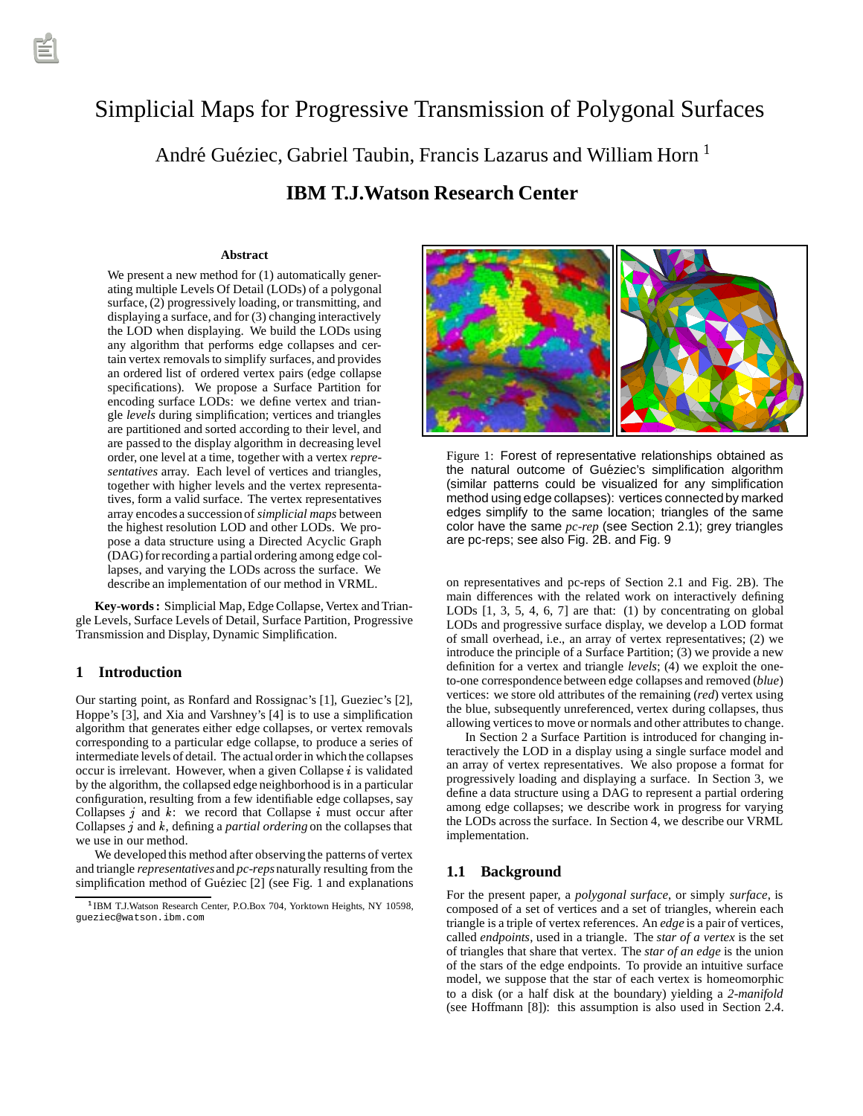# Simplicial Maps for Progressive Transmission of Polygonal Surfaces

André Guéziec, Gabriel Taubin, Francis Lazarus and William Horn  $<sup>1</sup>$ </sup>

# **IBM T.J.Watson Research Center**

#### **Abstract**

We present a new method for  $(1)$  automatically generating multiple Levels Of Detail (LODs) of a polygonal surface, (2) progressively loading, or transmitting, and displaying a surface, and for (3) changing interactively the LOD when displaying. We build the LODs using any algorithm that performs edge collapses and certain vertex removals to simplify surfaces, and provides an ordered list of ordered vertex pairs (edge collapse specifications). We propose a Surface Partition for encoding surface LODs: we define vertex and triangle *levels* during simplification; vertices and triangles are partitioned and sorted according to their level, and are passed to the display algorithm in decreasing level order, one level at a time, together with a vertex *representatives* array. Each level of vertices and triangles, together with higher levels and the vertex representatives, form a valid surface. The vertex representatives array encodes a succession of *simplicial maps* between the highest resolution LOD and other LODs. We propose a data structure using a Directed Acyclic Graph (DAG) for recording a partial ordering among edge collapses, and varying the LODs across the surface. We describe an implementation of our method in VRML.

**Key-words :** Simplicial Map, Edge Collapse, Vertex and Triangle Levels, Surface Levels of Detail, Surface Partition, Progressive Transmission and Display, Dynamic Simplification.

#### **1 Introduction**

Our starting point, as Ronfard and Rossignac's [1], Gueziec's [2], Hoppe's [3], and Xia and Varshney's [4] is to use a simplification algorithm that generates either edge collapses, or vertex removals corresponding to a particular edge collapse, to produce a series of intermediate levels of detail. The actualorder in which the collapses occur is irrelevant. However, when a given Collapse  $i$  is validated by the algorithm, the collapsed edge neighborhood is in a particular configuration, resulting from a few identifiable edge collapses, say Collapses  $j$  and  $k$ : we record that Collapse  $i$  must occur after Collapses j and k, defining a *partial ordering* on the collapses that we use in our method.

We developed this method after observing the patterns of vertex and triangle *representatives* and *pc-reps*naturally resulting from the simplification method of Guéziec [2] (see Fig. 1 and explanations



Figure 1: Forest of representative relationships obtained as the natural outcome of Guéziec's simplification algorithm (similar patterns could be visualized for any simplification method using edge collapses): vertices connectedby marked edges simplify to the same location; triangles of the same color have the same *pc-rep* (see Section 2.1); grey triangles are pc-reps; see also Fig. 2B. and Fig. 9

on representatives and pc-reps of Section 2.1 and Fig. 2B). The main differences with the related work on interactively defining LODs  $[1, 3, 5, 4, 6, 7]$  are that:  $(1)$  by concentrating on global LODs and progressive surface display, we develop a LOD format of small overhead, i.e., an array of vertex representatives; (2) we introduce the principle of a Surface Partition; (3) we provide a new definition for a vertex and triangle *levels*; (4) we exploit the oneto-one correspondence between edge collapses and removed (*blue*) vertices: we store old attributes of the remaining (*red*) vertex using the blue, subsequently unreferenced, vertex during collapses, thus allowing vertices to move or normals and other attributes to change.

In Section 2 a Surface Partition is introduced for changing interactively the LOD in a display using a single surface model and an array of vertex representatives. We also propose a format for progressively loading and displaying a surface. In Section 3, we define a data structure using a DAG to represent a partial ordering among edge collapses; we describe work in progress for varying the LODs across the surface. In Section 4, we describe our VRML implementation.

# **1.1 Background**

For the present paper, a *polygonal surface*, or simply *surface*, is composed of a set of vertices and a set of triangles, wherein each triangle is a triple of vertex references. An *edge* is a pair of vertices, called *endpoints*, used in a triangle. The *star of a vertex* is the set of triangles that share that vertex. The *star of an edge* is the union of the stars of the edge endpoints. To provide an intuitive surface model, we suppose that the star of each vertex is homeomorphic to a disk (or a half disk at the boundary) yielding a *2-manifold* (see Hoffmann [8]): this assumption is also used in Section 2.4.

<sup>&</sup>lt;sup>1</sup> IBM T.J.Watson Research Center, P.O.Box 704, Yorktown Heights, NY 10598, gueziec@watson.ibm.com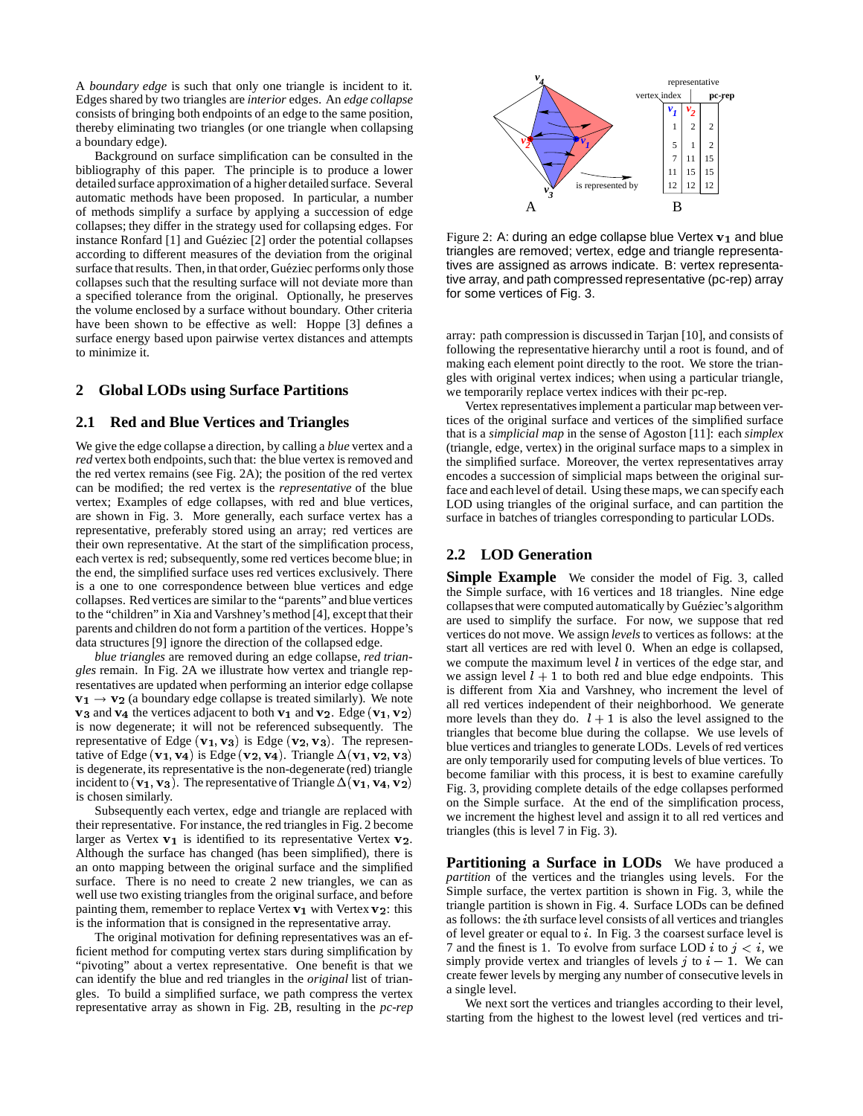A *boundary edge* is such that only one triangle is incident to it. Edges shared by two triangles are *interior* edges. An *edge collapse* consists of bringing both endpoints of an edge to the same position, thereby eliminating two triangles (or one triangle when collapsing a boundary edge).

Background on surface simplification can be consulted in the bibliography of this paper. The principle is to produce a lower detailed surface approximation of a higher detailed surface. Several automatic methods have been proposed. In particular, a number of methods simplify a surface by applying a succession of edge collapses; they differ in the strategy used for collapsing edges. For instance Ronfard [1] and Guéziec [2] order the potential collapses according to different measures of the deviation from the original surface that results. Then, in that order, Guéziec performs only those collapses such that the resulting surface will not deviate more than a specified tolerance from the original. Optionally, he preserves the volume enclosed by a surface without boundary. Other criteria have been shown to be effective as well: Hoppe [3] defines a surface energy based upon pairwise vertex distances and attempts to minimize it.

#### **2 Global LODs using Surface Partitions**

#### **2.1 Red and Blue Vertices and Triangles**

We give the edge collapse a direction, by calling a *blue* vertex and a *red* vertex both endpoints, such that: the blue vertex is removed and the red vertex remains (see Fig. 2A); the position of the red vertex can be modified; the red vertex is the *representative* of the blue vertex; Examples of edge collapses, with red and blue vertices, are shown in Fig. 3. More generally, each surface vertex has a representative, preferably stored using an array; red vertices are their own representative. At the start of the simplification process, each vertex is red; subsequently, some red vertices become blue; in the end, the simplified surface uses red vertices exclusively. There is a one to one correspondence between blue vertices and edge collapses. Red vertices are similar to the "parents" and blue vertices to the "children" in Xia and Varshney's method [4], except that their parents and children do not form a partition of the vertices. Hoppe's data structures [9] ignore the direction of the collapsed edge.

*blue triangles* are removed during an edge collapse, *red triangles* remain. In Fig. 2A we illustrate how vertex and triangle representatives are updated when performing an interior edge collapse  $v_1 \rightarrow v_2$  (a boundary edge collapse is treated similarly). We note  $v_3$  and  $v_4$  the vertices adjacent to both  $v_1$  and  $v_2$ . Edge ( $v_1, v_2$ ) is now degenerate; it will not be referenced subsequently. The representative of Edge ( $v_1, v_3$ ) is Edge ( $v_2, v_3$ ). The representative of Edge  $(v_1, v_4)$  is Edge  $(v_2, v_4)$ . Triangle  $\Delta(v_1, v_2, v_3)$ is degenerate, its representative is the non-degenerate (red) triangle incident to ( $v_1, v_3$ ). The representative of Triangle  $\Delta$ ( $v_1, v_4, v_2$ ) is chosen similarly.

Subsequently each vertex, edge and triangle are replaced with their representative. For instance, the red triangles in Fig. 2 become larger as Vertex  $v_1$  is identified to its representative Vertex  $v_2$ . Although the surface has changed (has been simplified), there is an onto mapping between the original surface and the simplified surface. There is no need to create 2 new triangles, we can as well use two existing triangles from the original surface, and before painting them, remember to replace Vertex  $v_1$  with Vertex  $v_2$ : this is the information that is consigned in the representative array.

The original motivation for defining representatives was an efficient method for computing vertex stars during simplification by "pivoting" about a vertex representative. One benefit is that we can identify the blue and red triangles in the *original* list of triangles. To build a simplified surface, we path compress the vertex representative array as shown in Fig. 2B, resulting in the *pc-rep*



Figure 2: A: during an edge collapse blue Vertex  $v_1$  and blue triangles are removed; vertex, edge and triangle representatives are assigned as arrows indicate. B: vertex representative array, and path compressed representative (pc-rep) array for some vertices of Fig. 3.

array: path compression is discussed in Tarjan [10], and consists of following the representative hierarchy until a root is found, and of making each element point directly to the root. We store the triangles with original vertex indices; when using a particular triangle, we temporarily replace vertex indices with their pc-rep.

Vertex representatives implement a particular map between vertices of the original surface and vertices of the simplified surface that is a *simplicial map* in the sense of Agoston [11]: each *simplex* (triangle, edge, vertex) in the original surface maps to a simplex in the simplified surface. Moreover, the vertex representatives array encodes a succession of simplicial maps between the original surface and each level of detail. Using these maps, we can specify each LOD using triangles of the original surface, and can partition the surface in batches of triangles corresponding to particular LODs.

## **2.2 LOD Generation**

**Simple Example** We consider the model of Fig. 3, called the Simple surface, with 16 vertices and 18 triangles. Nine edge collapses that were computed automatically by Guéziec's algorithm are used to simplify the surface. For now, we suppose that red vertices do not move. We assign *levels* to vertices as follows: at the start all vertices are red with level 0. When an edge is collapsed, we compute the maximum level  $l$  in vertices of the edge star, and we assign level  $l + 1$  to both red and blue edge endpoints. This is different from Xia and Varshney, who increment the level of all red vertices independent of their neighborhood. We generate more levels than they do.  $l + 1$  is also the level assigned to the triangles that become blue during the collapse. We use levels of blue vertices and triangles to generate LODs. Levels of red vertices are only temporarily used for computing levels of blue vertices. To become familiar with this process, it is best to examine carefully Fig. 3, providing complete details of the edge collapses performed on the Simple surface. At the end of the simplification process, we increment the highest level and assign it to all red vertices and triangles (this is level 7 in Fig. 3).

**Partitioning a Surface in LODs** We have produced a *partition* of the vertices and the triangles using levels. For the Simple surface, the vertex partition is shown in Fig. 3, while the triangle partition is shown in Fig. 4. Surface LODs can be defined as follows: the <sup>i</sup>th surface level consists of all vertices and triangles of level greater or equal to <sup>i</sup>. In Fig. 3 the coarsest surface level is 7 and the finest is 1. To evolve from surface LOD i to  $j < i$ , we simply provide vertex and triangles of levels  $j$  to  $i - 1$ . We can create fewer levels by merging any number of consecutive levels in a single level.

We next sort the vertices and triangles according to their level, starting from the highest to the lowest level (red vertices and tri-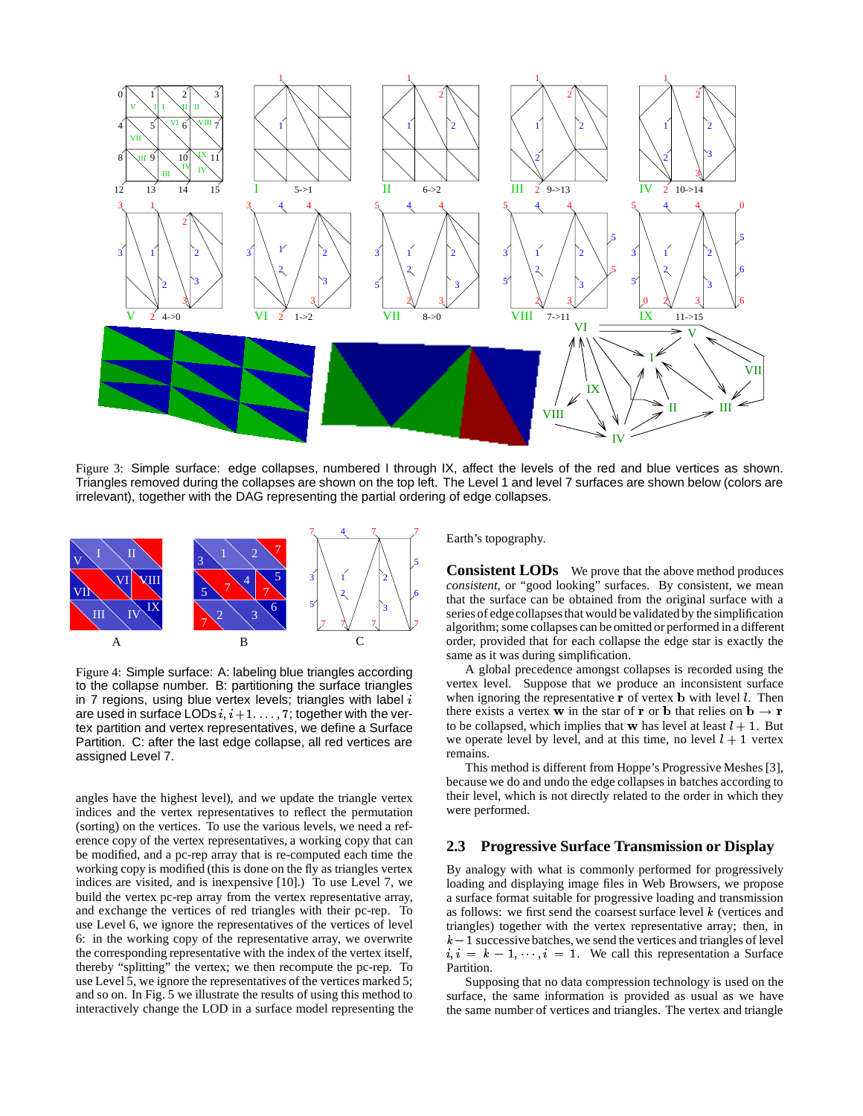

Figure 3: Simple surface: edge collapses, numbered I through IX, affect the levels of the red and blue vertices as shown. Triangles removed during the collapses are shown on the top left. The Level 1 and level 7 surfaces are shown below (colors are irrelevant), together with the DAG representing the partial ordering of edge collapses.



Figure 4: Simple surface: A: labeling blue triangles according to the collapse number. B: partitioning the surface triangles in 7 regions, using blue vertex levels; triangles with label  $i$ are used in surface LODs  $i, i+1, \ldots, 7$ ; together with the vertex partition and vertex representatives, we define a Surface Partition. C: after the last edge collapse, all red vertices are assigned Level 7.

angles have the highest level), and we update the triangle vertex indices and the vertex representatives to reflect the permutation (sorting) on the vertices. To use the various levels, we need a reference copy of the vertex representatives, a working copy that can be modified, and a pc-rep array that is re-computed each time the working copy is modified (this is done on the fly as triangles vertex indices are visited, and is inexpensive [10].) To use Level 7, we build the vertex pc-rep array from the vertex representative array, and exchange the vertices of red triangles with their pc-rep. To use Level 6, we ignore the representatives of the vertices of level 6: in the working copy of the representative array, we overwrite the corresponding representative with the index of the vertex itself, thereby "splitting" the vertex; we then recompute the pc-rep. To use Level 5, we ignore the representatives of the vertices marked 5; and so on. In Fig. 5 we illustrate the results of using this method to interactively change the LOD in a surface model representing the Earth's topography.

**Consistent LODs** We prove that the above method produces *consistent*, or "good looking" surfaces. By consistent, we mean that the surface can be obtained from the original surface with a series of edgecollapses that would be validated by the simplification algorithm; some collapses can be omitted or performed in a different order, provided that for each collapse the edge star is exactly the same as it was during simplification.

A global precedence amongst collapses is recorded using the vertex level. Suppose that we produce an inconsistent surface when ignoring the representative  $\bf{r}$  of vertex  $\bf{b}$  with level  $\bf{l}$ . Then there exists a vertex w in the star of r or b that relies on  $\mathbf{b} \to \mathbf{r}$ to be collapsed, which implies that w has level at least  $l + 1$ . But we operate level by level, and at this time, no level  $l + 1$  vertex remains.

This method is different from Hoppe's Progressive Meshes [3], because we do and undo the edge collapses in batches according to their level, which is not directly related to the order in which they were performed.

# **2.3 Progressive Surface Transmission or Display**

By analogy with what is commonly performed for progressively loading and displaying image files in Web Browsers, we propose a surface format suitable for progressive loading and transmission as follows: we first send the coarsest surface level  $k$  (vertices and triangles) together with the vertex representative array; then, in  $k - 1$  successive batches, we send the vertices and triangles of level  $i, i = k - 1, \dots, i = 1$ . We call this representation a Surface Partition.

Supposing that no data compression technology is used on the surface, the same information is provided as usual as we have the same number of vertices and triangles. The vertex and triangle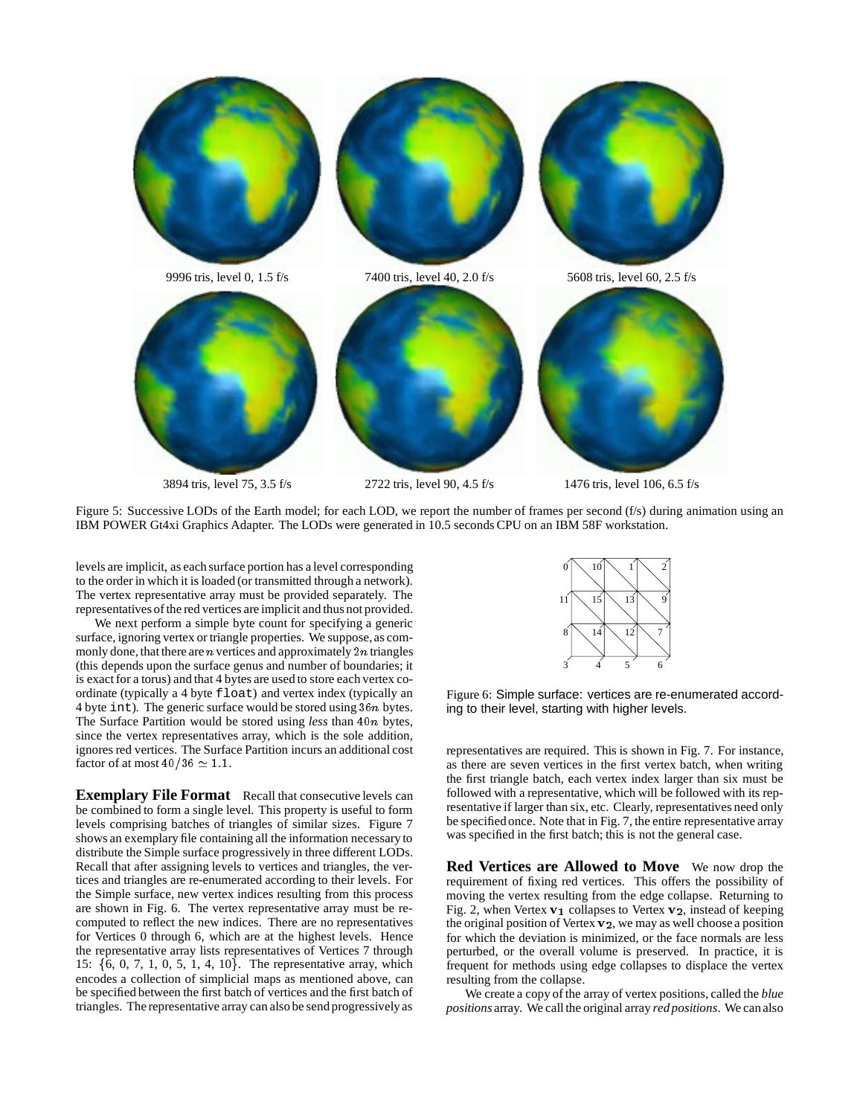

Figure 5: Successive LODs of the Earth model; for each LOD, we report the number of frames per second (f/s) during animation using an IBM POWER Gt4xi Graphics Adapter. The LODs were generated in 10.5 seconds CPU on an IBM 58F workstation.

levels are implicit, as each surface portion has a level corresponding to the order in which it is loaded (or transmitted through a network). The vertex representative array must be provided separately. The representatives of the red vertices are implicit and thus not provided.

We next perform a simple byte count for specifying a generic surface, ignoring vertex or triangle properties. We suppose, as commonly done, that there are  $n$  vertices and approximately  $2n$  triangles (this depends upon the surface genus and number of boundaries; it is exact for a torus) and that 4 bytes are used to store each vertex coordinate (typically a 4 byte float) and vertex index (typically an 4 byte int). The generic surface would be stored using  $36n$  bytes. The Surface Partition would be stored using *less* than 40n bytes, since the vertex representatives array, which is the sole addition, ignores red vertices. The Surface Partition incurs an additional cost factor of at most  $40/36 \simeq 1.1$ .

**Exemplary File Format** Recall that consecutive levels can be combined to form a single level. This property is useful to form levels comprising batches of triangles of similar sizes. Figure 7 shows an exemplary file containing all the information necessary to distribute the Simple surface progressively in three different LODs. Recall that after assigning levels to vertices and triangles, the vertices and triangles are re-enumerated according to their levels. For the Simple surface, new vertex indices resulting from this process are shown in Fig. 6. The vertex representative array must be recomputed to reflect the new indices. There are no representatives for Vertices 0 through 6, which are at the highest levels. Hence the representative array lists representatives of Vertices 7 through 15:  $\{6, 0, 7, 1, 0, 5, 1, 4, 10\}$ . The representative array, which encodes a collection of simplicial maps as mentioned above, can be specified between the first batch of vertices and the first batch of triangles. The representative array can also be send progressively as



Figure 6: Simple surface: vertices are re-enumerated according to their level, starting with higher levels.

representatives are required. This is shown in Fig. 7. For instance, as there are seven vertices in the first vertex batch, when writing the first triangle batch, each vertex index larger than six must be followed with a representative, which will be followed with its representative if larger than six, etc. Clearly, representatives need only be specified once. Note that in Fig. 7, the entire representative array was specified in the first batch; this is not the general case.

**Red Vertices are Allowed to Move** We now drop the requirement of fixing red vertices. This offers the possibility of moving the vertex resulting from the edge collapse. Returning to Fig. 2, when Vertex  $v_1$  collapses to Vertex  $v_2$ , instead of keeping the original position of Vertex v2, we may as well choose a position for which the deviation is minimized, or the face normals are less perturbed, or the overall volume is preserved. In practice, it is frequent for methods using edge collapses to displace the vertex resulting from the collapse.

We create a copy of the array of vertex positions, called the *blue positions* array. We call the original array *red positions*. We can also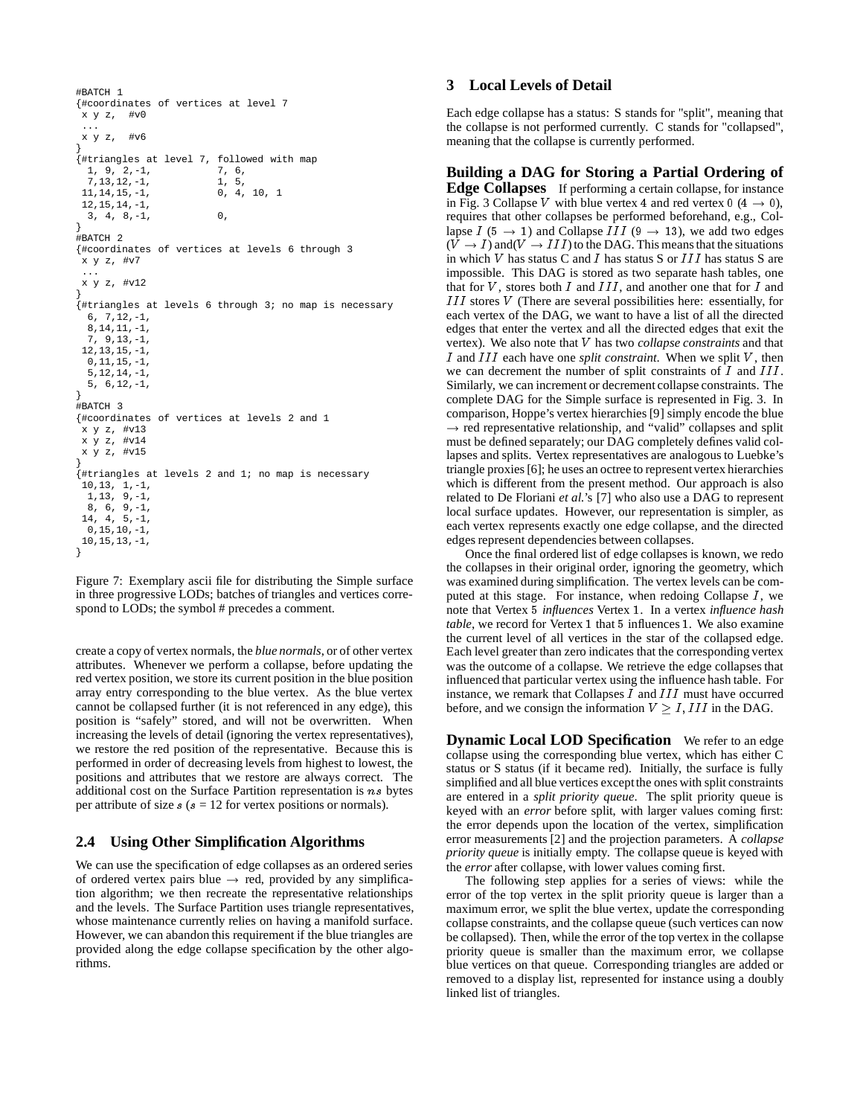```
#BATCH 1
{#coordinates of vertices at level 7
x y z, #v0
 ...
x y z, #v6
}
{#triangles at level 7, followed with map
 1, 9, 2,-1,<br>7, 13, 12, -1,<br>1, 5,
 7, 13, 12, -1,<br>11, 14, 15, -1,<br>0, 4, 10, 1
 11, 14, 15, -1,12,15,14,-1,
  3, 4, 8, -1, 0,
}
.<br>#BATCH 2
{#coordinates of vertices at levels 6 through 3
x y z, #v7
 ...
x y z, #v12
}
{#triangles at levels 6 through 3; no map is necessary
 6, 7,12,-1,
 8,14,11,-1,
  7, 9,13,-1,
 12,13,15,-1,
 0.11.15,-15,12,14,-1,
 5, 6,12,-1,
}
#BATCH 3
{#coordinates of vertices at levels 2 and 1
x y z, #v13
x y z, #v14
x y z, #v15
}
{#triangles at levels 2 and 1; no map is necessary
10,13, 1,-1,
 1,13, 9,-1,
 8, 6, 9,-1,
14, 4, 5,-1,
 0,15,10,-1,
10,15,13,-1,
}
```
Figure 7: Exemplary ascii file for distributing the Simple surface in three progressive LODs; batches of triangles and vertices correspond to LODs; the symbol # precedes a comment.

create a copy of vertex normals, the *blue normals*, or of other vertex attributes. Whenever we perform a collapse, before updating the red vertex position, we store its current position in the blue position array entry corresponding to the blue vertex. As the blue vertex cannot be collapsed further (it is not referenced in any edge), this position is "safely" stored, and will not be overwritten. When increasing the levels of detail (ignoring the vertex representatives), we restore the red position of the representative. Because this is performed in order of decreasing levels from highest to lowest, the positions and attributes that we restore are always correct. The additional cost on the Surface Partition representation is ns bytes per attribute of size  $s$  ( $s = 12$  for vertex positions or normals).

# **2.4 Using Other Simplification Algorithms**

We can use the specification of edge collapses as an ordered series of ordered vertex pairs blue  $\rightarrow$  red, provided by any simplification algorithm; we then recreate the representative relationships and the levels. The Surface Partition uses triangle representatives, whose maintenance currently relies on having a manifold surface. However, we can abandon this requirement if the blue triangles are provided along the edge collapse specification by the other algorithms.

### **3 Local Levels of Detail**

Each edge collapse has a status: S stands for "split", meaning that the collapse is not performed currently. C stands for "collapsed", meaning that the collapse is currently performed.

**Building a DAG for Storing a Partial Ordering of Edge Collapses** If performing a certain collapse, for instance in Fig. 3 Collapse V with blue vertex 4 and red vertex  $0$  (4  $\rightarrow$  0), requires that other collapses be performed beforehand, e.g., Collapse  $I$  (5  $\rightarrow$  1) and Collapse  $III$  (9  $\rightarrow$  13), we add two edges  $(V \rightarrow I)$  and  $(V \rightarrow III)$  to the DAG. This means that the situations in which <sup>V</sup> has status C and <sup>I</sup> has status S or III has status S are impossible. This DAG is stored as two separate hash tables, one that for  $V$ , stores both  $I$  and  $III$ , and another one that for  $I$  and III stores <sup>V</sup> (There are several possibilities here: essentially, for each vertex of the DAG, we want to have a list of all the directed edges that enter the vertex and all the directed edges that exit the vertex). We also note that <sup>V</sup> has two *collapse constraints* and that <sup>I</sup> and III each have one *split constraint*. When we split <sup>V</sup> , then we can decrement the number of split constraints of  $I$  and  $III$ . Similarly, we can increment or decrement collapse constraints. The complete DAG for the Simple surface is represented in Fig. 3. In comparison, Hoppe's vertex hierarchies [9] simply encode the blue  $\rightarrow$  red representative relationship, and "valid" collapses and split must be defined separately; our DAG completely defines valid collapses and splits. Vertex representatives are analogous to Luebke's triangle proxies [6]; he uses an octree to representvertex hierarchies which is different from the present method. Our approach is also related to De Floriani *et al.*'s [7] who also use a DAG to represent local surface updates. However, our representation is simpler, as each vertex represents exactly one edge collapse, and the directed edges represent dependencies between collapses.

Once the final ordered list of edge collapses is known, we redo the collapses in their original order, ignoring the geometry, which was examined during simplification. The vertex levels can be computed at this stage. For instance, when redoing Collapse  $I$ , we note that Vertex <sup>5</sup> *influences* Vertex <sup>1</sup>. In a vertex *influence hash table*, we record for Vertex <sup>1</sup> that <sup>5</sup> influences <sup>1</sup>. We also examine the current level of all vertices in the star of the collapsed edge. Each level greater than zero indicates that the corresponding vertex was the outcome of a collapse. We retrieve the edge collapses that influenced that particular vertex using the influence hash table. For instance, we remark that Collapses  $I$  and  $III$  must have occurred before, and we consign the information  $V \geq I$ , III in the DAG.

**Dynamic Local LOD Specification** We refer to an edge collapse using the corresponding blue vertex, which has either C status or S status (if it became red). Initially, the surface is fully simplified and all blue vertices exceptthe ones with split constraints are entered in a *split priority queue*. The split priority queue is keyed with an *error* before split, with larger values coming first: the error depends upon the location of the vertex, simplification error measurements [2] and the projection parameters. A *collapse priority queue* is initially empty. The collapse queue is keyed with the *error* after collapse, with lower values coming first.

The following step applies for a series of views: while the error of the top vertex in the split priority queue is larger than a maximum error, we split the blue vertex, update the corresponding collapse constraints, and the collapse queue (such vertices can now be collapsed). Then, while the error of the top vertex in the collapse priority queue is smaller than the maximum error, we collapse blue vertices on that queue. Corresponding triangles are added or removed to a display list, represented for instance using a doubly linked list of triangles.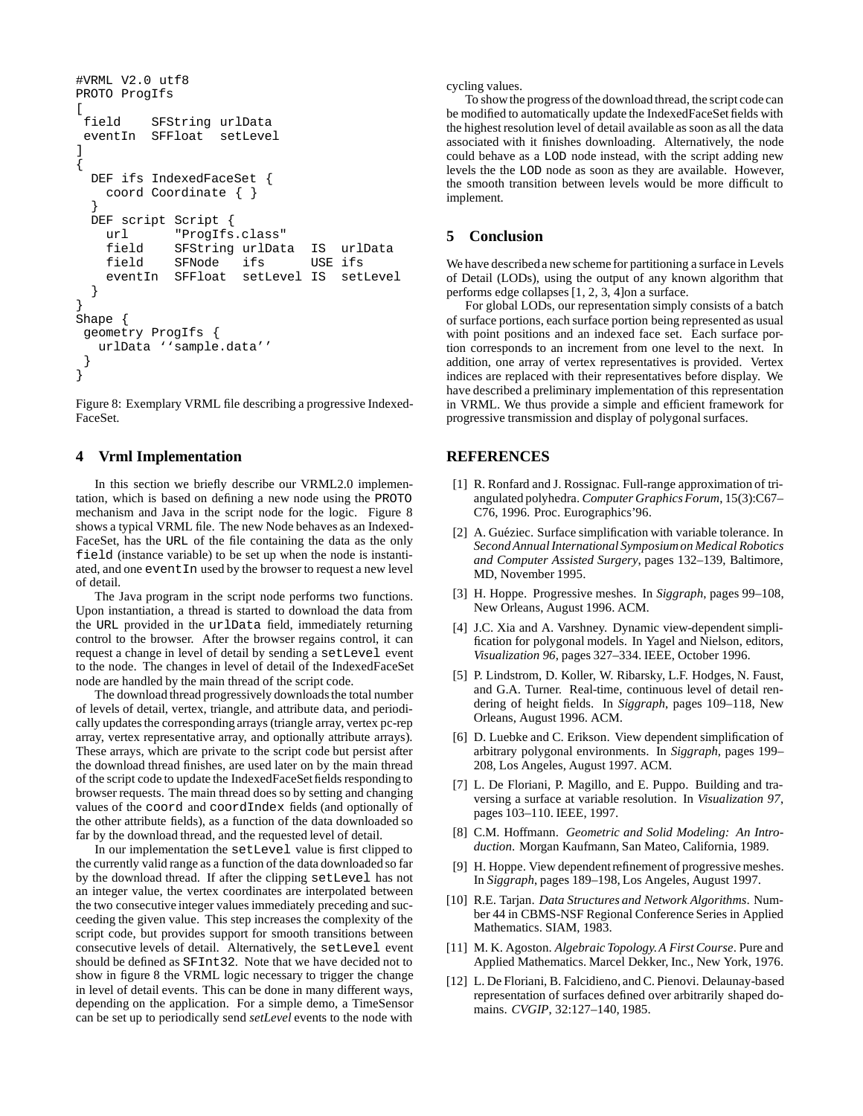```
#VRML V2.0 utf8
PROTO ProgIfs
[<br>field
           SFString urlData
 eventIn SFFloat setLevel
]
{
  DEF ifs IndexedFaceSet {
    coord Coordinate { }
  }
  DEF script Script {
    url "ProgIfs.class"
    field SFString urlData IS urlData
    field SFNode ifs USE ifs<br>eventIn SFFloat setLevel IS set
              SFFloat setLevel IS setLevel
  }
}
Shape {
 geometry ProgIfs {
   urlData ''sample.data''
 }
}
```
Figure 8: Exemplary VRML file describing a progressive Indexed-FaceSet.

### **4 Vrml Implementation**

In this section we briefly describe our VRML2.0 implementation, which is based on defining a new node using the PROTO mechanism and Java in the script node for the logic. Figure 8 shows a typical VRML file. The new Node behaves as an Indexed-FaceSet, has the URL of the file containing the data as the only field (instance variable) to be set up when the node is instantiated, and one event In used by the browser to request a new level of detail.

The Java program in the script node performs two functions. Upon instantiation, a thread is started to download the data from the URL provided in the urlData field, immediately returning control to the browser. After the browser regains control, it can request a change in level of detail by sending a setLevel event to the node. The changes in level of detail of the IndexedFaceSet node are handled by the main thread of the script code.

The download thread progressively downloads the total number of levels of detail, vertex, triangle, and attribute data, and periodically updates the corresponding arrays (triangle array, vertex pc-rep array, vertex representative array, and optionally attribute arrays). These arrays, which are private to the script code but persist after the download thread finishes, are used later on by the main thread of the script code to update the IndexedFaceSetfields responding to browser requests. The main thread does so by setting and changing values of the coord and coordIndex fields (and optionally of the other attribute fields), as a function of the data downloaded so far by the download thread, and the requested level of detail.

In our implementation the setLevel value is first clipped to the currently valid range as a function of the data downloaded so far by the download thread. If after the clipping setLevel has not an integer value, the vertex coordinates are interpolated between the two consecutive integer values immediately preceding and succeeding the given value. This step increases the complexity of the script code, but provides support for smooth transitions between consecutive levels of detail. Alternatively, the setLevel event should be defined as SFInt32. Note that we have decided not to show in figure 8 the VRML logic necessary to trigger the change in level of detail events. This can be done in many different ways, depending on the application. For a simple demo, a TimeSensor can be set up to periodically send *setLevel* events to the node with cycling values.

To show the progress of the download thread, the script code can be modified to automatically update the IndexedFaceSet fields with the highest resolution level of detail available as soon as all the data associated with it finishes downloading. Alternatively, the node could behave as a LOD node instead, with the script adding new levels the the LOD node as soon as they are available. However, the smooth transition between levels would be more difficult to implement.

#### **5 Conclusion**

We have describeda new scheme for partitioning a surface in Levels of Detail (LODs), using the output of any known algorithm that performs edge collapses [1, 2, 3, 4]on a surface.

For global LODs, our representation simply consists of a batch of surface portions, each surface portion being represented as usual with point positions and an indexed face set. Each surface portion corresponds to an increment from one level to the next. In addition, one array of vertex representatives is provided. Vertex indices are replaced with their representatives before display. We have described a preliminary implementation of this representation in VRML. We thus provide a simple and efficient framework for progressive transmission and display of polygonal surfaces.

### **REFERENCES**

- [1] R. Ronfard and J. Rossignac. Full-range approximation of triangulated polyhedra. *Computer Graphics Forum*, 15(3):C67– C76, 1996. Proc. Eurographics'96.
- [2] A. Guéziec. Surface simplification with variable tolerance. In *Second Annual International Symposium on Medical Robotics and Computer Assisted Surgery*, pages 132–139, Baltimore, MD, November 1995.
- [3] H. Hoppe. Progressive meshes. In *Siggraph*, pages 99–108, New Orleans, August 1996. ACM.
- [4] J.C. Xia and A. Varshney. Dynamic view-dependent simplification for polygonal models. In Yagel and Nielson, editors, *Visualization 96*, pages 327–334. IEEE, October 1996.
- [5] P. Lindstrom, D. Koller, W. Ribarsky, L.F. Hodges, N. Faust, and G.A. Turner. Real-time, continuous level of detail rendering of height fields. In *Siggraph*, pages 109–118, New Orleans, August 1996. ACM.
- [6] D. Luebke and C. Erikson. View dependent simplification of arbitrary polygonal environments. In *Siggraph*, pages 199– 208, Los Angeles, August 1997. ACM.
- [7] L. De Floriani, P. Magillo, and E. Puppo. Building and traversing a surface at variable resolution. In *Visualization 97*, pages 103–110. IEEE, 1997.
- [8] C.M. Hoffmann. *Geometric and Solid Modeling: An Introduction*. Morgan Kaufmann, San Mateo, California, 1989.
- [9] H. Hoppe. View dependent refinement of progressive meshes. In *Siggraph*, pages 189–198, Los Angeles, August 1997.
- [10] R.E. Tarjan. *Data Structures and Network Algorithms*. Number 44 in CBMS-NSF Regional Conference Series in Applied Mathematics. SIAM, 1983.
- [11] M. K. Agoston. *Algebraic Topology.A First Course*. Pure and Applied Mathematics. Marcel Dekker, Inc., New York, 1976.
- [12] L. De Floriani, B. Falcidieno, and C. Pienovi. Delaunay-based representation of surfaces defined over arbitrarily shaped domains. *CVGIP*, 32:127–140, 1985.